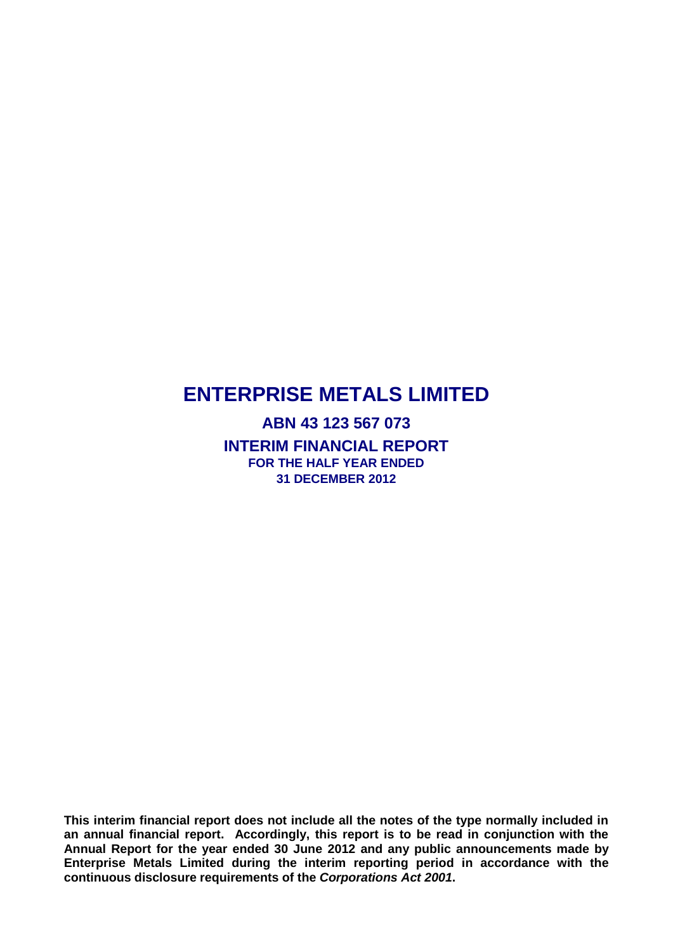**ABN 43 123 567 073 INTERIM FINANCIAL REPORT FOR THE HALF YEAR ENDED 31 DECEMBER 2012**

**This interim financial report does not include all the notes of the type normally included in an annual financial report. Accordingly, this report is to be read in conjunction with the Annual Report for the year ended 30 June 2012 and any public announcements made by Enterprise Metals Limited during the interim reporting period in accordance with the continuous disclosure requirements of the** *Corporations Act 2001***.**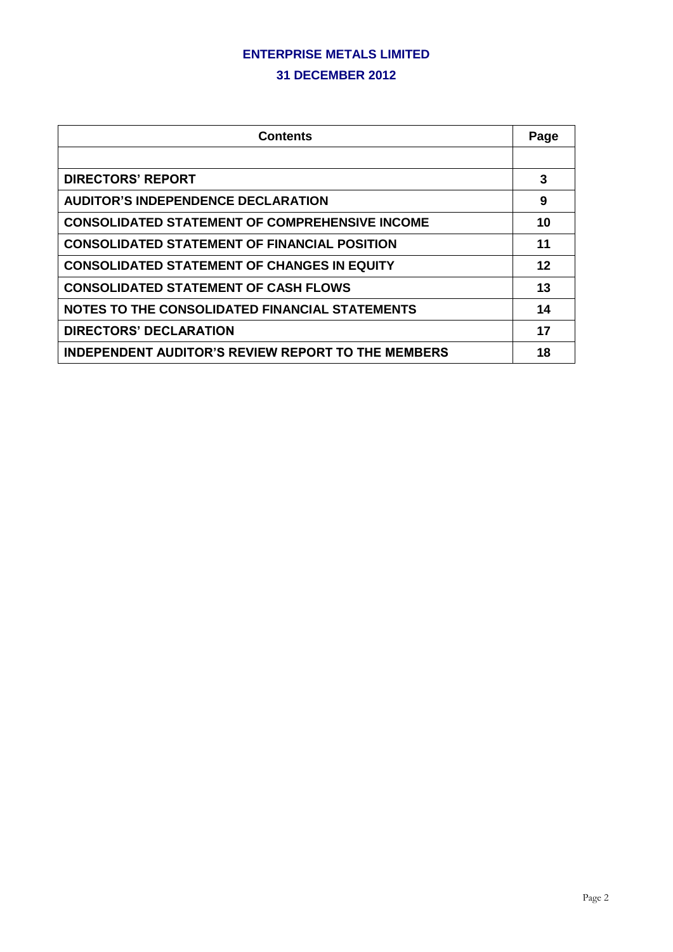#### **31 DECEMBER 2012**

| <b>Contents</b>                                           | Page |
|-----------------------------------------------------------|------|
|                                                           |      |
| <b>DIRECTORS' REPORT</b>                                  | 3    |
| <b>AUDITOR'S INDEPENDENCE DECLARATION</b>                 | 9    |
| <b>CONSOLIDATED STATEMENT OF COMPREHENSIVE INCOME</b>     | 10   |
| <b>CONSOLIDATED STATEMENT OF FINANCIAL POSITION</b>       | 11   |
| <b>CONSOLIDATED STATEMENT OF CHANGES IN EQUITY</b>        | 12   |
| <b>CONSOLIDATED STATEMENT OF CASH FLOWS</b>               | 13   |
| NOTES TO THE CONSOLIDATED FINANCIAL STATEMENTS            | 14   |
| <b>DIRECTORS' DECLARATION</b>                             | 17   |
| <b>INDEPENDENT AUDITOR'S REVIEW REPORT TO THE MEMBERS</b> | 18   |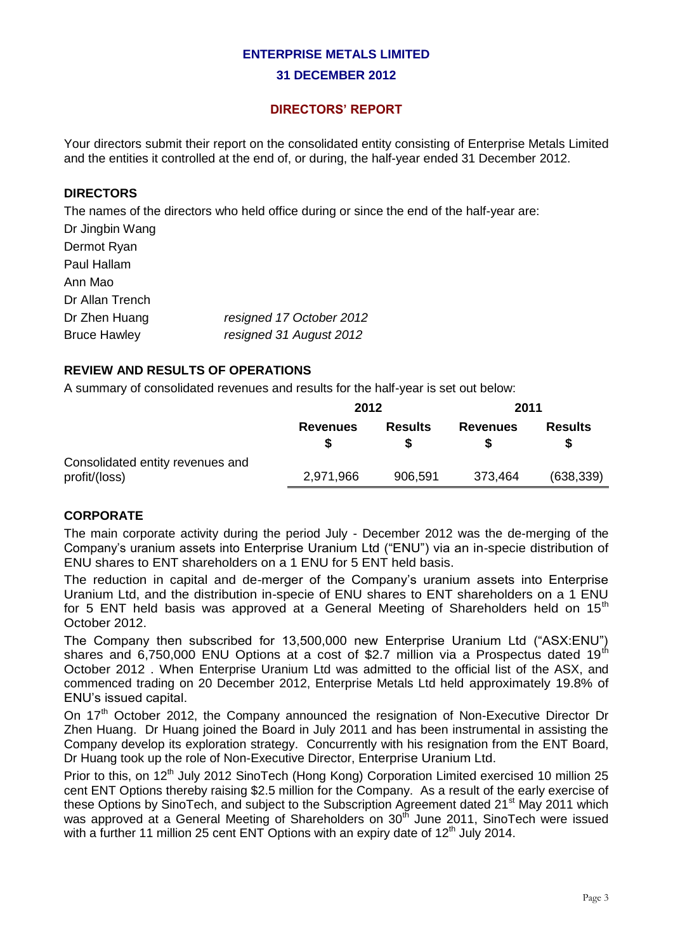#### **31 DECEMBER 2012**

## **DIRECTORS' REPORT**

Your directors submit their report on the consolidated entity consisting of Enterprise Metals Limited and the entities it controlled at the end of, or during, the half-year ended 31 December 2012.

#### **DIRECTORS**

The names of the directors who held office during or since the end of the half-year are:

| Dr Jingbin Wang     |                          |
|---------------------|--------------------------|
| Dermot Ryan         |                          |
| Paul Hallam         |                          |
| Ann Mao             |                          |
| Dr Allan Trench     |                          |
| Dr Zhen Huang       | resigned 17 October 2012 |
| <b>Bruce Hawley</b> | resigned 31 August 2012  |
|                     |                          |

## **REVIEW AND RESULTS OF OPERATIONS**

A summary of consolidated revenues and results for the half-year is set out below:

|                                                   | 2012            |                | 2011            |                |
|---------------------------------------------------|-----------------|----------------|-----------------|----------------|
|                                                   | <b>Revenues</b> | <b>Results</b> | <b>Revenues</b> | <b>Results</b> |
| Consolidated entity revenues and<br>profit/(loss) | 2,971,966       | 906,591        | 373,464         | (638, 339)     |

### **CORPORATE**

The main corporate activity during the period July - December 2012 was the de-merging of the Company's uranium assets into Enterprise Uranium Ltd ("ENU") via an in-specie distribution of ENU shares to ENT shareholders on a 1 ENU for 5 ENT held basis.

The reduction in capital and de-merger of the Company's uranium assets into Enterprise Uranium Ltd, and the distribution in-specie of ENU shares to ENT shareholders on a 1 ENU for 5 ENT held basis was approved at a General Meeting of Shareholders held on  $15<sup>th</sup>$ October 2012.

The Company then subscribed for 13,500,000 new Enterprise Uranium Ltd ("ASX:ENU") shares and 6,750,000 ENU Options at a cost of \$2.7 million via a Prospectus dated 19<sup>th</sup> October 2012 . When Enterprise Uranium Ltd was admitted to the official list of the ASX, and commenced trading on 20 December 2012, Enterprise Metals Ltd held approximately 19.8% of ENU's issued capital.

On 17<sup>th</sup> October 2012, the Company announced the resignation of Non-Executive Director Dr Zhen Huang. Dr Huang joined the Board in July 2011 and has been instrumental in assisting the Company develop its exploration strategy. Concurrently with his resignation from the ENT Board, Dr Huang took up the role of Non-Executive Director, Enterprise Uranium Ltd.

Prior to this, on 12<sup>th</sup> July 2012 SinoTech (Hong Kong) Corporation Limited exercised 10 million 25 cent ENT Options thereby raising \$2.5 million for the Company. As a result of the early exercise of these Options by SinoTech, and subject to the Subscription Agreement dated 21<sup>st</sup> May 2011 which was approved at a General Meeting of Shareholders on 30<sup>th</sup> June 2011, SinoTech were issued with a further 11 million 25 cent ENT Options with an expiry date of  $12<sup>th</sup>$  July 2014.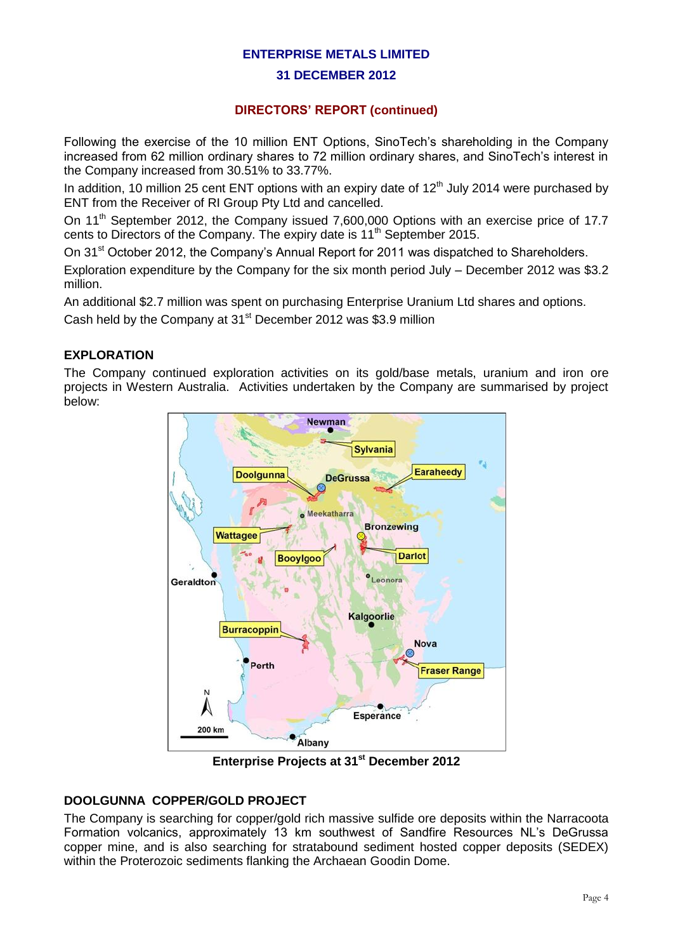#### **31 DECEMBER 2012**

## **DIRECTORS' REPORT (continued)**

Following the exercise of the 10 million ENT Options, SinoTech's shareholding in the Company increased from 62 million ordinary shares to 72 million ordinary shares, and SinoTech's interest in the Company increased from 30.51% to 33.77%.

In addition, 10 million 25 cent ENT options with an expiry date of  $12<sup>th</sup>$  July 2014 were purchased by ENT from the Receiver of RI Group Pty Ltd and cancelled.

On 11<sup>th</sup> September 2012, the Company issued 7,600,000 Options with an exercise price of 17.7 cents to Directors of the Company. The expiry date is 11<sup>th</sup> September 2015.

On 31<sup>st</sup> October 2012, the Company's Annual Report for 2011 was dispatched to Shareholders.

Exploration expenditure by the Company for the six month period July – December 2012 was \$3.2 million.

An additional \$2.7 million was spent on purchasing Enterprise Uranium Ltd shares and options.

Cash held by the Company at 31<sup>st</sup> December 2012 was \$3.9 million

## **EXPLORATION**

The Company continued exploration activities on its gold/base metals, uranium and iron ore projects in Western Australia. Activities undertaken by the Company are summarised by project below:



**Enterprise Projects at 31st December 2012**

## **DOOLGUNNA COPPER/GOLD PROJECT**

The Company is searching for copper/gold rich massive sulfide ore deposits within the Narracoota Formation volcanics, approximately 13 km southwest of Sandfire Resources NL's DeGrussa copper mine, and is also searching for stratabound sediment hosted copper deposits (SEDEX) within the Proterozoic sediments flanking the Archaean Goodin Dome.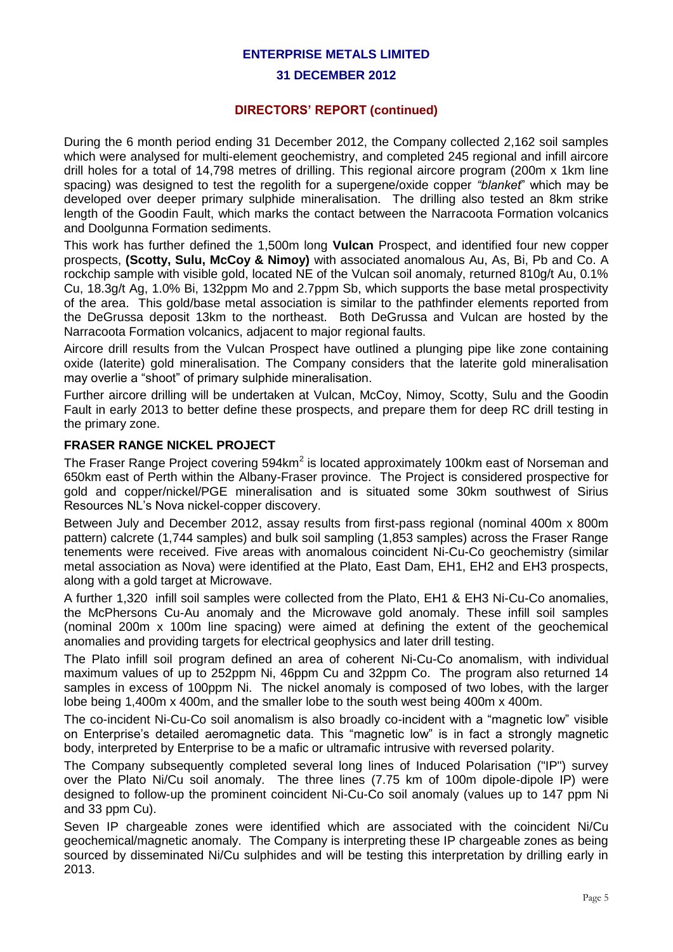#### **31 DECEMBER 2012**

### **DIRECTORS' REPORT (continued)**

During the 6 month period ending 31 December 2012, the Company collected 2,162 soil samples which were analysed for multi-element geochemistry, and completed 245 regional and infill aircore drill holes for a total of 14,798 metres of drilling. This regional aircore program (200m x 1km line spacing) was designed to test the regolith for a supergene/oxide copper *"blanket*" which may be developed over deeper primary sulphide mineralisation. The drilling also tested an 8km strike length of the Goodin Fault, which marks the contact between the Narracoota Formation volcanics and Doolgunna Formation sediments.

This work has further defined the 1,500m long **Vulcan** Prospect, and identified four new copper prospects, **(Scotty, Sulu, McCoy & Nimoy)** with associated anomalous Au, As, Bi, Pb and Co. A rockchip sample with visible gold, located NE of the Vulcan soil anomaly, returned 810g/t Au, 0.1% Cu, 18.3g/t Ag, 1.0% Bi, 132ppm Mo and 2.7ppm Sb, which supports the base metal prospectivity of the area. This gold/base metal association is similar to the pathfinder elements reported from the DeGrussa deposit 13km to the northeast. Both DeGrussa and Vulcan are hosted by the Narracoota Formation volcanics, adjacent to major regional faults.

Aircore drill results from the Vulcan Prospect have outlined a plunging pipe like zone containing oxide (laterite) gold mineralisation. The Company considers that the laterite gold mineralisation may overlie a "shoot" of primary sulphide mineralisation.

Further aircore drilling will be undertaken at Vulcan, McCoy, Nimoy, Scotty, Sulu and the Goodin Fault in early 2013 to better define these prospects, and prepare them for deep RC drill testing in the primary zone.

#### **FRASER RANGE NICKEL PROJECT**

The Fraser Range Project covering 594km<sup>2</sup> is located approximately 100km east of Norseman and 650km east of Perth within the Albany-Fraser province. The Project is considered prospective for gold and copper/nickel/PGE mineralisation and is situated some 30km southwest of Sirius Resources NL's Nova nickel-copper discovery.

Between July and December 2012, assay results from first-pass regional (nominal 400m x 800m pattern) calcrete (1,744 samples) and bulk soil sampling (1,853 samples) across the Fraser Range tenements were received. Five areas with anomalous coincident Ni-Cu-Co geochemistry (similar metal association as Nova) were identified at the Plato, East Dam, EH1, EH2 and EH3 prospects, along with a gold target at Microwave.

A further 1,320 infill soil samples were collected from the Plato, EH1 & EH3 Ni-Cu-Co anomalies, the McPhersons Cu-Au anomaly and the Microwave gold anomaly. These infill soil samples (nominal 200m x 100m line spacing) were aimed at defining the extent of the geochemical anomalies and providing targets for electrical geophysics and later drill testing.

The Plato infill soil program defined an area of coherent Ni-Cu-Co anomalism, with individual maximum values of up to 252ppm Ni, 46ppm Cu and 32ppm Co. The program also returned 14 samples in excess of 100ppm Ni. The nickel anomaly is composed of two lobes, with the larger lobe being 1,400m x 400m, and the smaller lobe to the south west being 400m x 400m.

The co-incident Ni-Cu-Co soil anomalism is also broadly co-incident with a "magnetic low" visible on Enterprise's detailed aeromagnetic data. This "magnetic low" is in fact a strongly magnetic body, interpreted by Enterprise to be a mafic or ultramafic intrusive with reversed polarity.

The Company subsequently completed several long lines of Induced Polarisation ("IP") survey over the Plato Ni/Cu soil anomaly. The three lines (7.75 km of 100m dipole-dipole IP) were designed to follow-up the prominent coincident Ni-Cu-Co soil anomaly (values up to 147 ppm Ni and 33 ppm Cu).

Seven IP chargeable zones were identified which are associated with the coincident Ni/Cu geochemical/magnetic anomaly. The Company is interpreting these IP chargeable zones as being sourced by disseminated Ni/Cu sulphides and will be testing this interpretation by drilling early in 2013.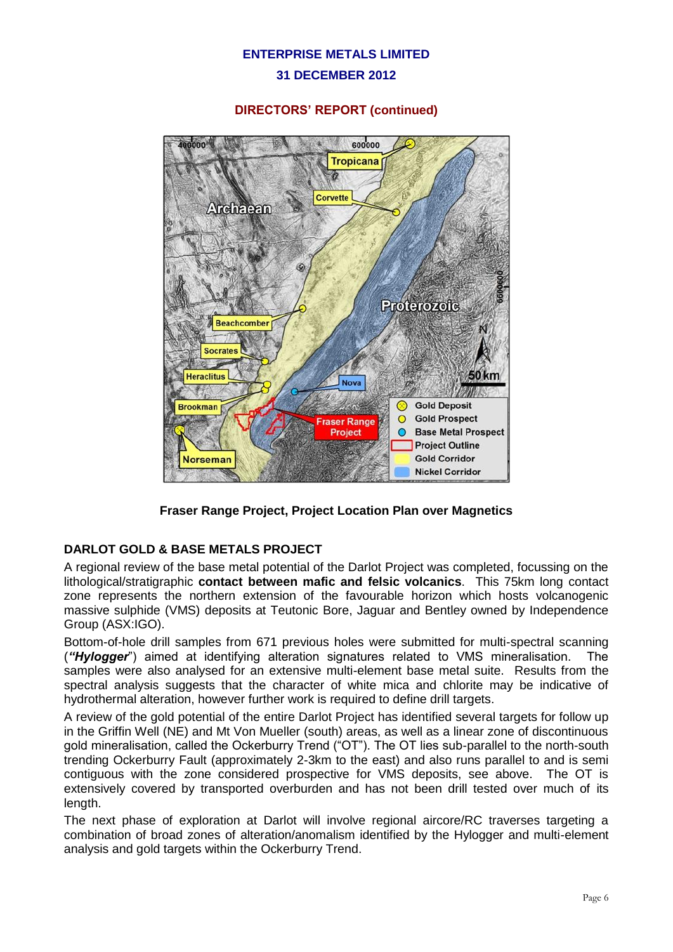#### **31 DECEMBER 2012**

### **DIRECTORS' REPORT (continued)**



**Fraser Range Project, Project Location Plan over Magnetics**

## **DARLOT GOLD & BASE METALS PROJECT**

A regional review of the base metal potential of the Darlot Project was completed, focussing on the lithological/stratigraphic **contact between mafic and felsic volcanics**. This 75km long contact zone represents the northern extension of the favourable horizon which hosts volcanogenic massive sulphide (VMS) deposits at Teutonic Bore, Jaguar and Bentley owned by Independence Group (ASX:IGO).

Bottom-of-hole drill samples from 671 previous holes were submitted for multi-spectral scanning (*"Hylogger*") aimed at identifying alteration signatures related to VMS mineralisation. The samples were also analysed for an extensive multi-element base metal suite. Results from the spectral analysis suggests that the character of white mica and chlorite may be indicative of hydrothermal alteration, however further work is required to define drill targets.

A review of the gold potential of the entire Darlot Project has identified several targets for follow up in the Griffin Well (NE) and Mt Von Mueller (south) areas, as well as a linear zone of discontinuous gold mineralisation, called the Ockerburry Trend ("OT"). The OT lies sub-parallel to the north-south trending Ockerburry Fault (approximately 2-3km to the east) and also runs parallel to and is semi contiguous with the zone considered prospective for VMS deposits, see above. The OT is extensively covered by transported overburden and has not been drill tested over much of its length.

The next phase of exploration at Darlot will involve regional aircore/RC traverses targeting a combination of broad zones of alteration/anomalism identified by the Hylogger and multi-element analysis and gold targets within the Ockerburry Trend.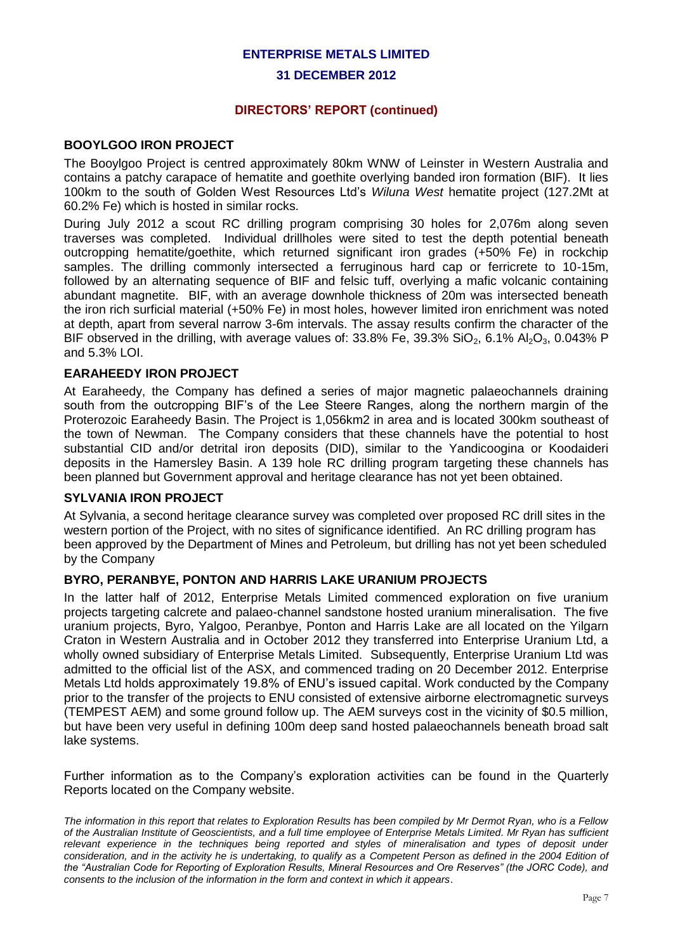#### **31 DECEMBER 2012**

#### **DIRECTORS' REPORT (continued)**

#### **BOOYLGOO IRON PROJECT**

The Booylgoo Project is centred approximately 80km WNW of Leinster in Western Australia and contains a patchy carapace of hematite and goethite overlying banded iron formation (BIF). It lies 100km to the south of Golden West Resources Ltd's *Wiluna West* hematite project (127.2Mt at 60.2% Fe) which is hosted in similar rocks.

During July 2012 a scout RC drilling program comprising 30 holes for 2,076m along seven traverses was completed. Individual drillholes were sited to test the depth potential beneath outcropping hematite/goethite, which returned significant iron grades (+50% Fe) in rockchip samples. The drilling commonly intersected a ferruginous hard cap or ferricrete to 10-15m, followed by an alternating sequence of BIF and felsic tuff, overlying a mafic volcanic containing abundant magnetite. BIF, with an average downhole thickness of 20m was intersected beneath the iron rich surficial material (+50% Fe) in most holes, however limited iron enrichment was noted at depth, apart from several narrow 3-6m intervals. The assay results confirm the character of the BIF observed in the drilling, with average values of:  $33.8\%$  Fe,  $39.3\%$  SiO<sub>2</sub>,  $6.1\%$  Al<sub>2</sub>O<sub>3</sub>, 0.043% P and 5.3% LOI.

#### **EARAHEEDY IRON PROJECT**

At Earaheedy, the Company has defined a series of major magnetic palaeochannels draining south from the outcropping BIF's of the Lee Steere Ranges, along the northern margin of the Proterozoic Earaheedy Basin. The Project is 1,056km2 in area and is located 300km southeast of the town of Newman. The Company considers that these channels have the potential to host substantial CID and/or detrital iron deposits (DID), similar to the Yandicoogina or Koodaideri deposits in the Hamersley Basin. A 139 hole RC drilling program targeting these channels has been planned but Government approval and heritage clearance has not yet been obtained.

#### **SYLVANIA IRON PROJECT**

At Sylvania, a second heritage clearance survey was completed over proposed RC drill sites in the western portion of the Project, with no sites of significance identified. An RC drilling program has been approved by the Department of Mines and Petroleum, but drilling has not yet been scheduled by the Company

### **BYRO, PERANBYE, PONTON AND HARRIS LAKE URANIUM PROJECTS**

In the latter half of 2012, Enterprise Metals Limited commenced exploration on five uranium projects targeting calcrete and palaeo-channel sandstone hosted uranium mineralisation. The five uranium projects, Byro, Yalgoo, Peranbye, Ponton and Harris Lake are all located on the Yilgarn Craton in Western Australia and in October 2012 they transferred into Enterprise Uranium Ltd, a wholly owned subsidiary of Enterprise Metals Limited. Subsequently, Enterprise Uranium Ltd was admitted to the official list of the ASX, and commenced trading on 20 December 2012. Enterprise Metals Ltd holds approximately 19.8% of ENU's issued capital. Work conducted by the Company prior to the transfer of the projects to ENU consisted of extensive airborne electromagnetic surveys (TEMPEST AEM) and some ground follow up. The AEM surveys cost in the vicinity of \$0.5 million, but have been very useful in defining 100m deep sand hosted palaeochannels beneath broad salt lake systems.

Further information as to the Company's exploration activities can be found in the Quarterly Reports located on the Company website.

*The information in this report that relates to Exploration Results has been compiled by Mr Dermot Ryan, who is a Fellow of the Australian Institute of Geoscientists, and a full time employee of Enterprise Metals Limited. Mr Ryan has sufficient*  relevant experience in the techniques being reported and styles of mineralisation and types of deposit under *consideration, and in the activity he is undertaking, to qualify as a Competent Person as defined in the 2004 Edition of the "Australian Code for Reporting of Exploration Results, Mineral Resources and Ore Reserves" (the JORC Code), and consents to the inclusion of the information in the form and context in which it appears*.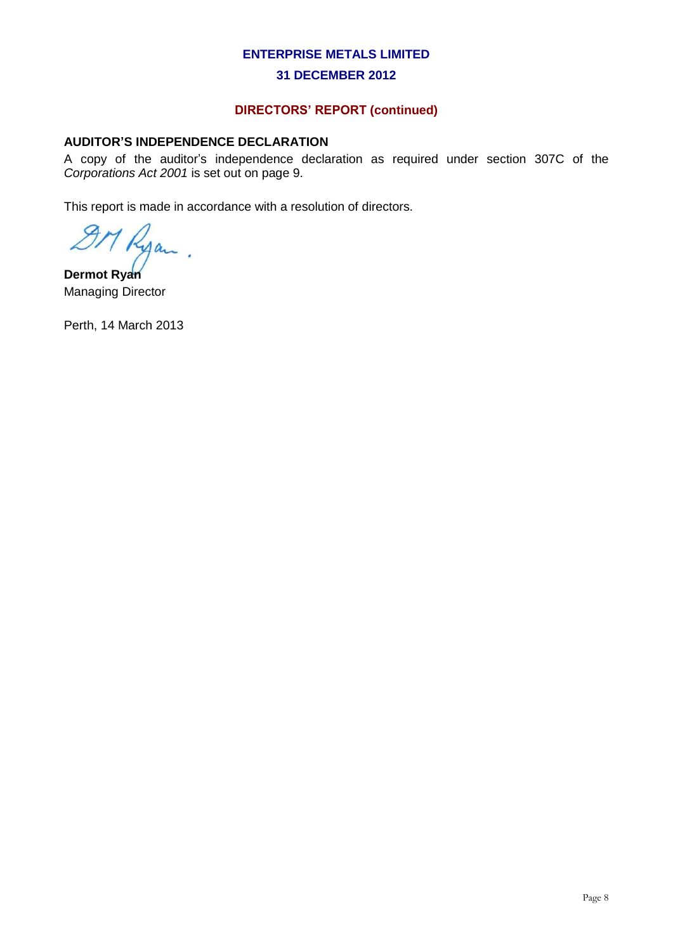#### **31 DECEMBER 2012**

# **DIRECTORS' REPORT (continued)**

## **AUDITOR'S INDEPENDENCE DECLARATION**

A copy of the auditor's independence declaration as required under section 307C of the *Corporations Act 2001* is set out on page 9.

This report is made in accordance with a resolution of directors.

M Ryan

**Dermot Ryan** Managing Director

Perth, 14 March 2013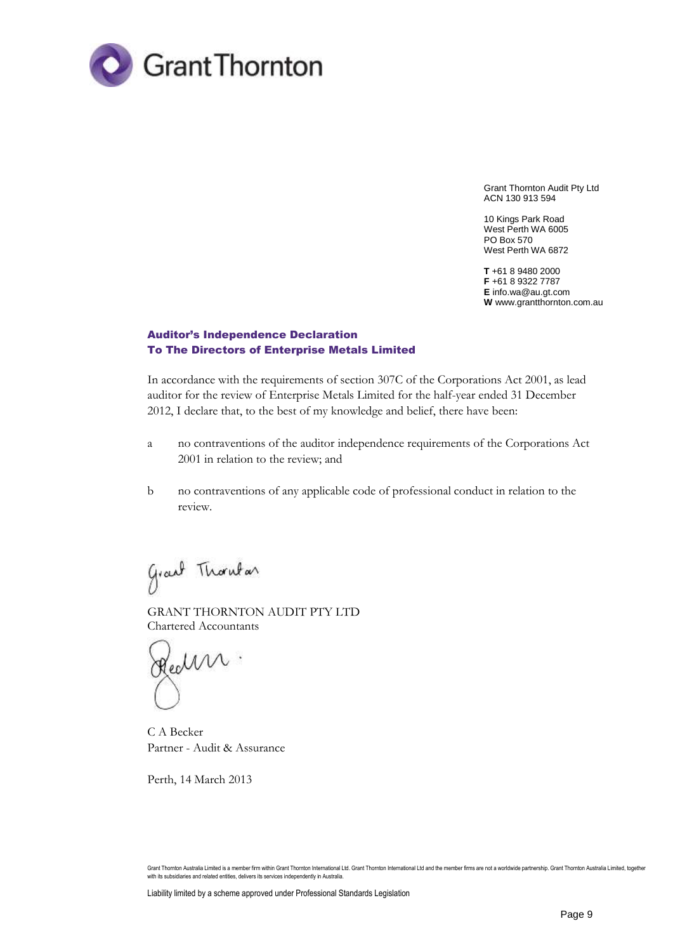

Grant Thornton Audit Pty Ltd ACN 130 913 594

10 Kings Park Road West Perth WA 6005 PO Box 570 West Perth WA 6872

**T** +61 8 9480 2000 **F** +61 8 9322 7787 **E** info.wa@au.gt.com **W** www.grantthornton.com.au

#### Auditor's Independence Declaration To The Directors of Enterprise Metals Limited

In accordance with the requirements of section 307C of the Corporations Act 2001, as lead auditor for the review of Enterprise Metals Limited for the half-year ended 31 December 2012, I declare that, to the best of my knowledge and belief, there have been:

- a no contraventions of the auditor independence requirements of the Corporations Act 2001 in relation to the review; and
- b no contraventions of any applicable code of professional conduct in relation to the review.

Grant Thombar

GRANT THORNTON AUDIT PTY LTD Chartered Accountants

Health.

C A Becker Partner - Audit & Assurance

Perth, 14 March 2013

Grant Thornton Australia Limited is a member firm within Grant Thornton International Ltd. Grant Thornton International Ltd and the member firms are not a worldwide partnership. Grant Thornton Australia Limited, together<br>w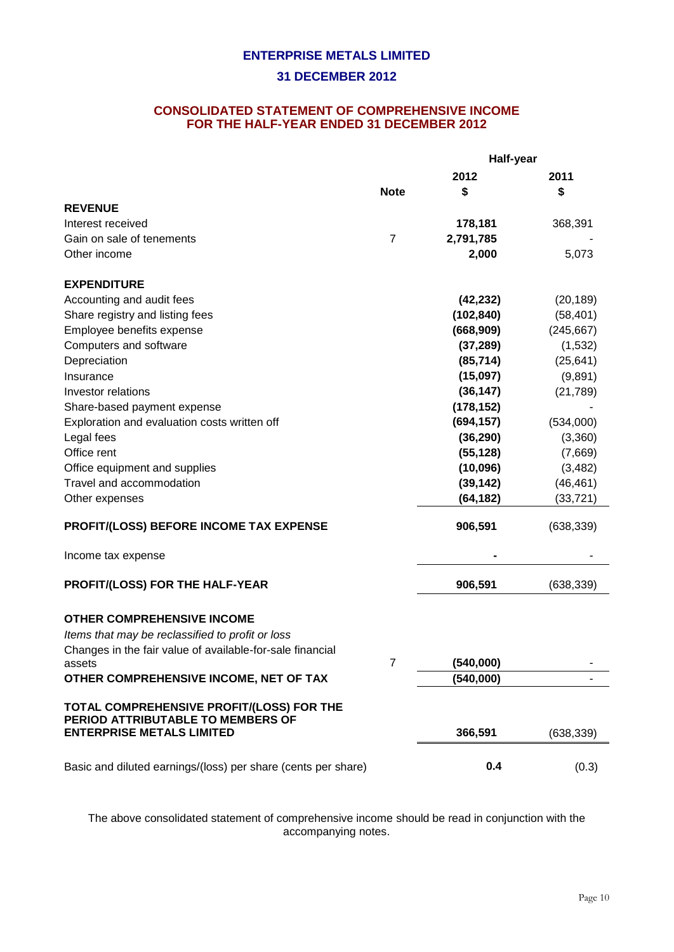#### **CONSOLIDATED STATEMENT OF COMPREHENSIVE INCOME FOR THE HALF-YEAR ENDED 31 DECEMBER 2012**

|                                                                                | Half-year      |            |            |
|--------------------------------------------------------------------------------|----------------|------------|------------|
|                                                                                |                | 2012       | 2011       |
|                                                                                | <b>Note</b>    | \$         | \$         |
| <b>REVENUE</b>                                                                 |                |            |            |
| Interest received                                                              |                | 178,181    | 368,391    |
| Gain on sale of tenements                                                      | $\overline{7}$ | 2,791,785  |            |
| Other income                                                                   |                | 2,000      | 5,073      |
| <b>EXPENDITURE</b>                                                             |                |            |            |
| Accounting and audit fees                                                      |                | (42, 232)  | (20, 189)  |
| Share registry and listing fees                                                |                | (102, 840) | (58, 401)  |
| Employee benefits expense                                                      |                | (668, 909) | (245, 667) |
| Computers and software                                                         |                | (37, 289)  | (1,532)    |
| Depreciation                                                                   |                | (85, 714)  | (25, 641)  |
| Insurance                                                                      |                | (15,097)   | (9,891)    |
| Investor relations                                                             |                | (36, 147)  | (21, 789)  |
| Share-based payment expense                                                    |                | (178, 152) |            |
| Exploration and evaluation costs written off                                   |                | (694, 157) | (534,000)  |
| Legal fees                                                                     |                | (36, 290)  | (3,360)    |
| Office rent                                                                    |                | (55, 128)  | (7,669)    |
| Office equipment and supplies                                                  |                | (10,096)   | (3, 482)   |
| Travel and accommodation                                                       |                | (39, 142)  | (46, 461)  |
| Other expenses                                                                 |                | (64, 182)  | (33, 721)  |
| <b>PROFIT/(LOSS) BEFORE INCOME TAX EXPENSE</b>                                 |                | 906,591    | (638, 339) |
| Income tax expense                                                             |                |            |            |
| PROFIT/(LOSS) FOR THE HALF-YEAR                                                |                | 906,591    | (638, 339) |
| <b>OTHER COMPREHENSIVE INCOME</b>                                              |                |            |            |
| Items that may be reclassified to profit or loss                               |                |            |            |
| Changes in the fair value of available-for-sale financial<br>assets            |                | (540,000)  |            |
| OTHER COMPREHENSIVE INCOME, NET OF TAX                                         |                | (540,000)  |            |
|                                                                                |                |            |            |
| TOTAL COMPREHENSIVE PROFIT/(LOSS) FOR THE<br>PERIOD ATTRIBUTABLE TO MEMBERS OF |                |            |            |
| <b>ENTERPRISE METALS LIMITED</b>                                               |                | 366,591    | (638, 339) |
| Basic and diluted earnings/(loss) per share (cents per share)                  |                | 0.4        | (0.3)      |

The above consolidated statement of comprehensive income should be read in conjunction with the accompanying notes.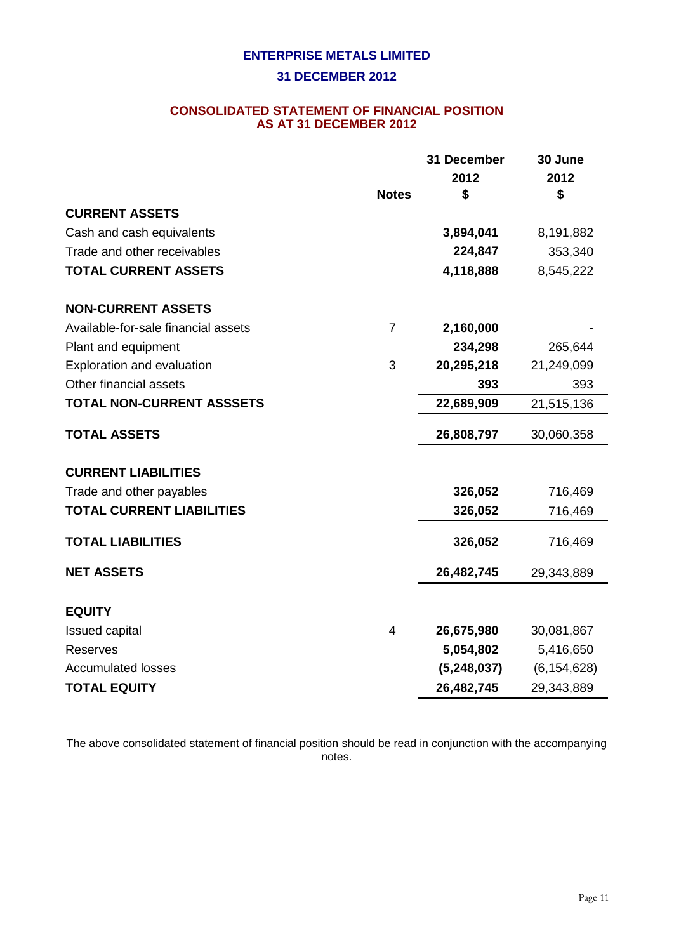## **CONSOLIDATED STATEMENT OF FINANCIAL POSITION AS AT 31 DECEMBER 2012**

|                                     |                | 31 December   | 30 June       |
|-------------------------------------|----------------|---------------|---------------|
|                                     |                | 2012          | 2012          |
|                                     | <b>Notes</b>   | \$            | \$            |
| <b>CURRENT ASSETS</b>               |                |               |               |
| Cash and cash equivalents           |                | 3,894,041     | 8,191,882     |
| Trade and other receivables         |                | 224,847       | 353,340       |
| <b>TOTAL CURRENT ASSETS</b>         |                | 4,118,888     | 8,545,222     |
| <b>NON-CURRENT ASSETS</b>           |                |               |               |
| Available-for-sale financial assets | $\overline{7}$ | 2,160,000     |               |
| Plant and equipment                 |                | 234,298       | 265,644       |
| Exploration and evaluation          | 3              | 20,295,218    | 21,249,099    |
| Other financial assets              |                | 393           | 393           |
| <b>TOTAL NON-CURRENT ASSSETS</b>    |                | 22,689,909    | 21,515,136    |
| <b>TOTAL ASSETS</b>                 |                | 26,808,797    | 30,060,358    |
| <b>CURRENT LIABILITIES</b>          |                |               |               |
| Trade and other payables            |                | 326,052       | 716,469       |
| <b>TOTAL CURRENT LIABILITIES</b>    |                | 326,052       | 716,469       |
| <b>TOTAL LIABILITIES</b>            |                | 326,052       | 716,469       |
| <b>NET ASSETS</b>                   |                | 26,482,745    | 29,343,889    |
| <b>EQUITY</b>                       |                |               |               |
| <b>Issued capital</b>               | $\overline{4}$ | 26,675,980    | 30,081,867    |
| <b>Reserves</b>                     |                | 5,054,802     | 5,416,650     |
| <b>Accumulated losses</b>           |                | (5, 248, 037) | (6, 154, 628) |
| <b>TOTAL EQUITY</b>                 |                | 26,482,745    | 29,343,889    |
|                                     |                |               |               |

The above consolidated statement of financial position should be read in conjunction with the accompanying notes.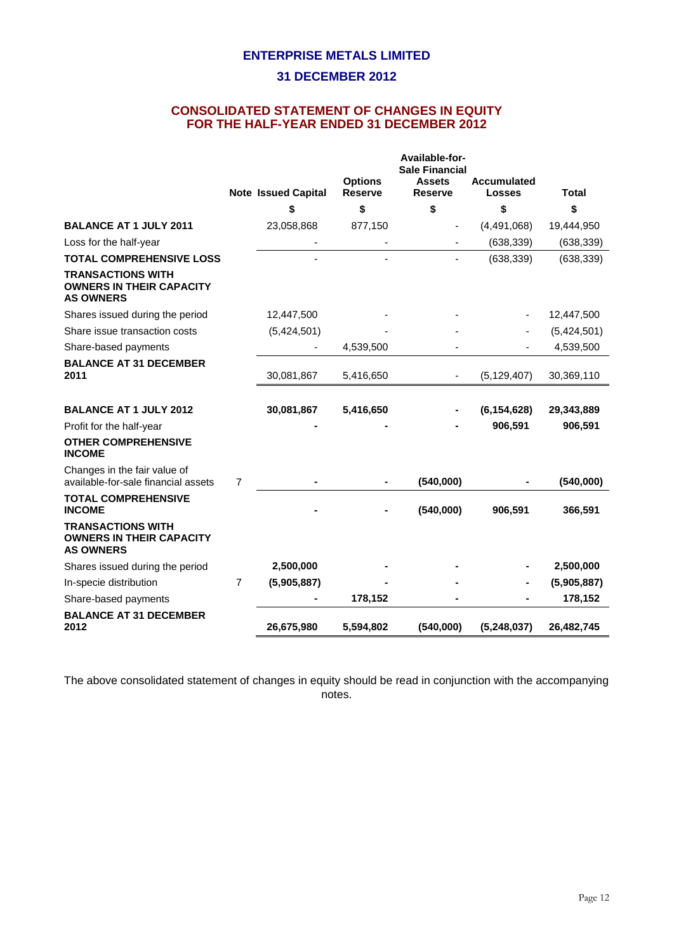## **CONSOLIDATED STATEMENT OF CHANGES IN EQUITY FOR THE HALF-YEAR ENDED 31 DECEMBER 2012**

|                                                                                 |   |                            |                                  | Available-for-<br><b>Sale Financial</b> |                                     |              |
|---------------------------------------------------------------------------------|---|----------------------------|----------------------------------|-----------------------------------------|-------------------------------------|--------------|
|                                                                                 |   | <b>Note Issued Capital</b> | <b>Options</b><br><b>Reserve</b> | <b>Assets</b><br><b>Reserve</b>         | <b>Accumulated</b><br><b>Losses</b> | <b>Total</b> |
|                                                                                 |   | \$                         | \$                               | \$                                      | \$                                  | \$           |
| <b>BALANCE AT 1 JULY 2011</b>                                                   |   | 23,058,868                 | 877,150                          |                                         | (4,491,068)                         | 19,444,950   |
| Loss for the half-year                                                          |   |                            |                                  |                                         | (638, 339)                          | (638, 339)   |
| <b>TOTAL COMPREHENSIVE LOSS</b>                                                 |   |                            |                                  |                                         | (638, 339)                          | (638, 339)   |
| <b>TRANSACTIONS WITH</b><br><b>OWNERS IN THEIR CAPACITY</b><br><b>AS OWNERS</b> |   |                            |                                  |                                         |                                     |              |
| Shares issued during the period                                                 |   | 12,447,500                 |                                  |                                         |                                     | 12,447,500   |
| Share issue transaction costs                                                   |   | (5,424,501)                |                                  |                                         |                                     | (5,424,501)  |
| Share-based payments                                                            |   |                            | 4,539,500                        |                                         |                                     | 4,539,500    |
| <b>BALANCE AT 31 DECEMBER</b><br>2011                                           |   | 30,081,867                 | 5,416,650                        | $\overline{\phantom{a}}$                | (5, 129, 407)                       | 30,369,110   |
| <b>BALANCE AT 1 JULY 2012</b>                                                   |   | 30,081,867                 | 5,416,650                        |                                         | (6, 154, 628)                       | 29,343,889   |
| Profit for the half-year                                                        |   |                            |                                  |                                         | 906,591                             | 906,591      |
| <b>OTHER COMPREHENSIVE</b><br><b>INCOME</b>                                     |   |                            |                                  |                                         |                                     |              |
| Changes in the fair value of<br>available-for-sale financial assets             | 7 |                            |                                  | (540,000)                               |                                     | (540,000)    |
| <b>TOTAL COMPREHENSIVE</b><br><b>INCOME</b>                                     |   |                            |                                  | (540,000)                               | 906,591                             | 366,591      |
| <b>TRANSACTIONS WITH</b><br><b>OWNERS IN THEIR CAPACITY</b><br><b>AS OWNERS</b> |   |                            |                                  |                                         |                                     |              |
| Shares issued during the period                                                 |   | 2,500,000                  |                                  |                                         |                                     | 2,500,000    |
| In-specie distribution                                                          | 7 | (5,905,887)                |                                  |                                         |                                     | (5,905,887)  |
| Share-based payments                                                            |   |                            | 178,152                          |                                         |                                     | 178,152      |
| <b>BALANCE AT 31 DECEMBER</b><br>2012                                           |   | 26,675,980                 | 5,594,802                        | (540,000)                               | (5,248,037)                         | 26,482,745   |

The above consolidated statement of changes in equity should be read in conjunction with the accompanying notes.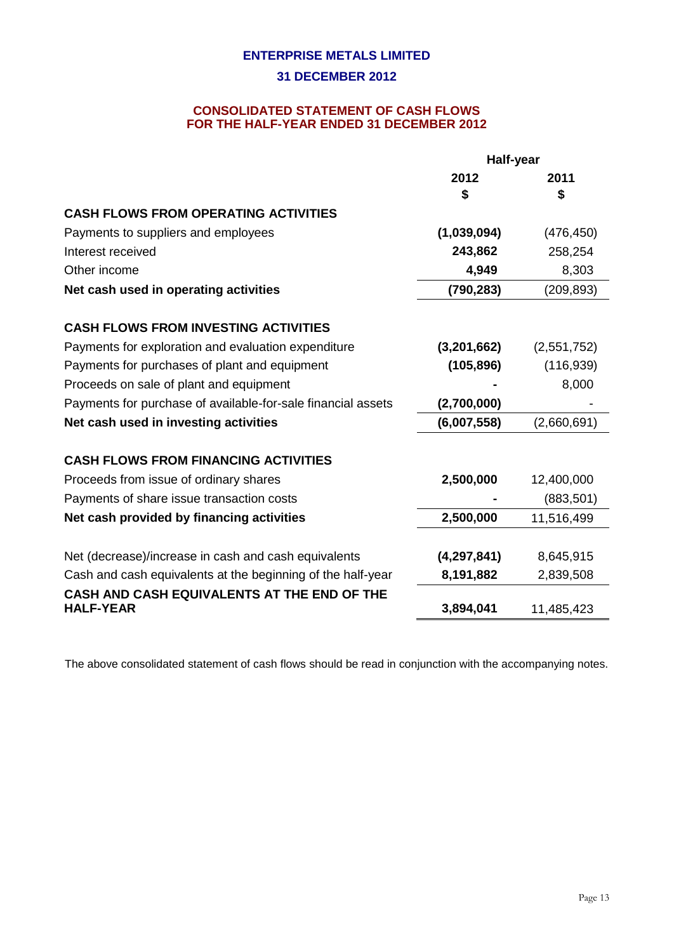### **CONSOLIDATED STATEMENT OF CASH FLOWS FOR THE HALF-YEAR ENDED 31 DECEMBER 2012**

|                                                                 | Half-year     |             |  |
|-----------------------------------------------------------------|---------------|-------------|--|
|                                                                 | 2012          | 2011        |  |
|                                                                 | \$            | S           |  |
| <b>CASH FLOWS FROM OPERATING ACTIVITIES</b>                     |               |             |  |
| Payments to suppliers and employees                             | (1,039,094)   | (476, 450)  |  |
| Interest received                                               | 243,862       | 258,254     |  |
| Other income                                                    | 4,949         | 8,303       |  |
| Net cash used in operating activities                           | (790, 283)    | (209, 893)  |  |
| <b>CASH FLOWS FROM INVESTING ACTIVITIES</b>                     |               |             |  |
| Payments for exploration and evaluation expenditure             | (3,201,662)   | (2,551,752) |  |
| Payments for purchases of plant and equipment                   | (105, 896)    | (116, 939)  |  |
| Proceeds on sale of plant and equipment                         |               | 8,000       |  |
| Payments for purchase of available-for-sale financial assets    | (2,700,000)   |             |  |
| Net cash used in investing activities                           | (6,007,558)   | (2,660,691) |  |
| <b>CASH FLOWS FROM FINANCING ACTIVITIES</b>                     |               |             |  |
| Proceeds from issue of ordinary shares                          | 2,500,000     | 12,400,000  |  |
| Payments of share issue transaction costs                       |               | (883, 501)  |  |
| Net cash provided by financing activities                       | 2,500,000     | 11,516,499  |  |
|                                                                 |               |             |  |
| Net (decrease)/increase in cash and cash equivalents            | (4, 297, 841) | 8,645,915   |  |
| Cash and cash equivalents at the beginning of the half-year     | 8,191,882     | 2,839,508   |  |
| CASH AND CASH EQUIVALENTS AT THE END OF THE<br><b>HALF-YEAR</b> | 3,894,041     | 11,485,423  |  |
|                                                                 |               |             |  |

The above consolidated statement of cash flows should be read in conjunction with the accompanying notes.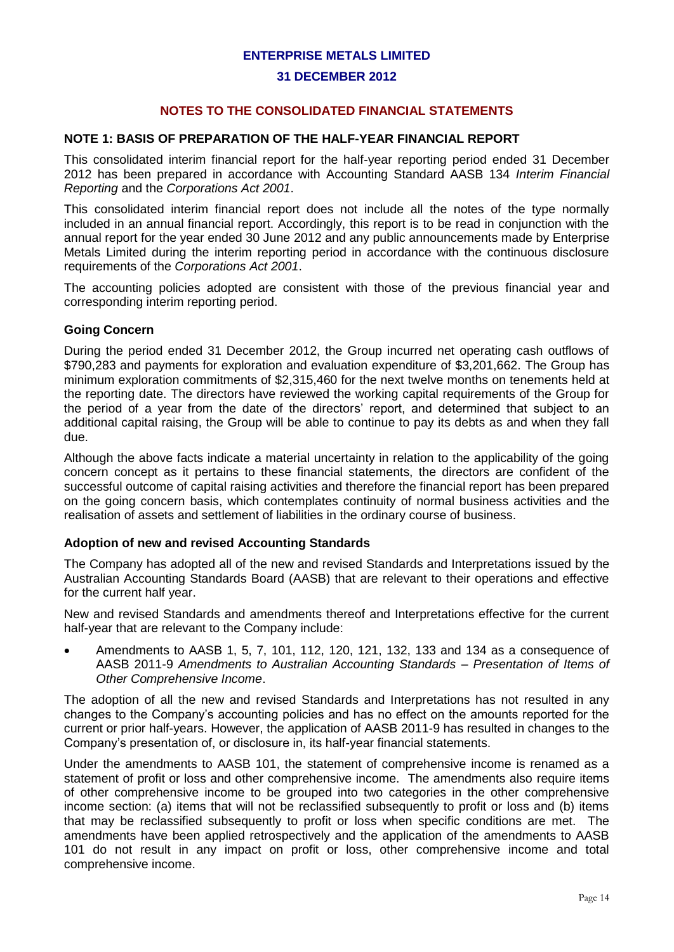#### **31 DECEMBER 2012**

## **NOTES TO THE CONSOLIDATED FINANCIAL STATEMENTS**

## **NOTE 1: BASIS OF PREPARATION OF THE HALF-YEAR FINANCIAL REPORT**

This consolidated interim financial report for the half-year reporting period ended 31 December 2012 has been prepared in accordance with Accounting Standard AASB 134 *Interim Financial Reporting* and the *Corporations Act 2001*.

This consolidated interim financial report does not include all the notes of the type normally included in an annual financial report. Accordingly, this report is to be read in conjunction with the annual report for the year ended 30 June 2012 and any public announcements made by Enterprise Metals Limited during the interim reporting period in accordance with the continuous disclosure requirements of the *Corporations Act 2001*.

The accounting policies adopted are consistent with those of the previous financial year and corresponding interim reporting period.

#### **Going Concern**

During the period ended 31 December 2012, the Group incurred net operating cash outflows of \$790,283 and payments for exploration and evaluation expenditure of \$3,201,662. The Group has minimum exploration commitments of \$2,315,460 for the next twelve months on tenements held at the reporting date. The directors have reviewed the working capital requirements of the Group for the period of a year from the date of the directors' report, and determined that subject to an additional capital raising, the Group will be able to continue to pay its debts as and when they fall due.

Although the above facts indicate a material uncertainty in relation to the applicability of the going concern concept as it pertains to these financial statements, the directors are confident of the successful outcome of capital raising activities and therefore the financial report has been prepared on the going concern basis, which contemplates continuity of normal business activities and the realisation of assets and settlement of liabilities in the ordinary course of business.

#### **Adoption of new and revised Accounting Standards**

The Company has adopted all of the new and revised Standards and Interpretations issued by the Australian Accounting Standards Board (AASB) that are relevant to their operations and effective for the current half year.

New and revised Standards and amendments thereof and Interpretations effective for the current half-year that are relevant to the Company include:

 Amendments to AASB 1, 5, 7, 101, 112, 120, 121, 132, 133 and 134 as a consequence of AASB 2011-9 *Amendments to Australian Accounting Standards – Presentation of Items of Other Comprehensive Income*.

The adoption of all the new and revised Standards and Interpretations has not resulted in any changes to the Company's accounting policies and has no effect on the amounts reported for the current or prior half-years. However, the application of AASB 2011-9 has resulted in changes to the Company's presentation of, or disclosure in, its half-year financial statements.

Under the amendments to AASB 101, the statement of comprehensive income is renamed as a statement of profit or loss and other comprehensive income. The amendments also require items of other comprehensive income to be grouped into two categories in the other comprehensive income section: (a) items that will not be reclassified subsequently to profit or loss and (b) items that may be reclassified subsequently to profit or loss when specific conditions are met. The amendments have been applied retrospectively and the application of the amendments to AASB 101 do not result in any impact on profit or loss, other comprehensive income and total comprehensive income.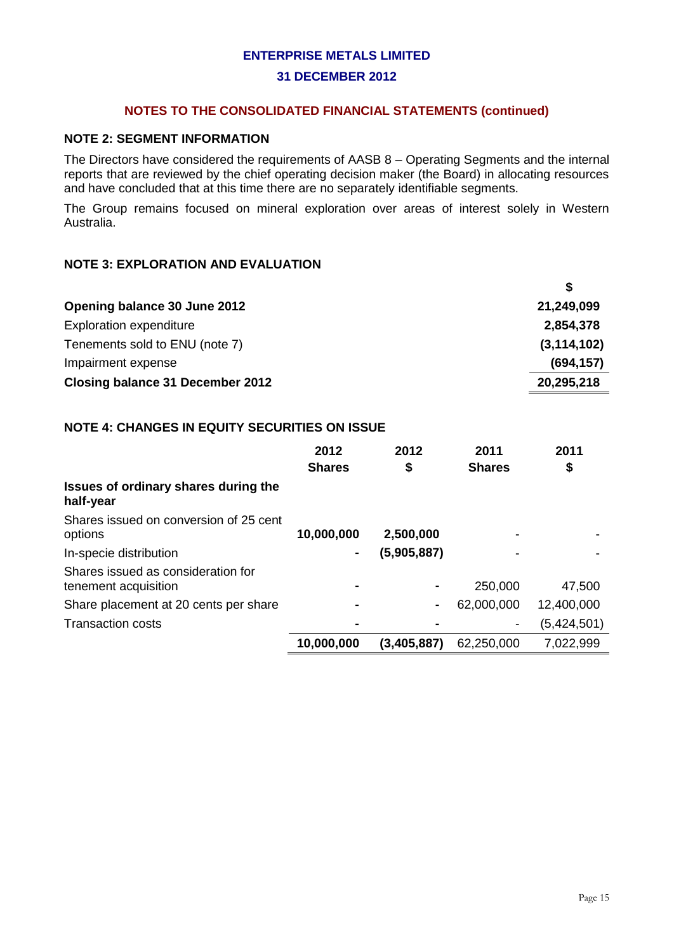#### **NOTES TO THE CONSOLIDATED FINANCIAL STATEMENTS (continued)**

#### **NOTE 2: SEGMENT INFORMATION**

The Directors have considered the requirements of AASB 8 – Operating Segments and the internal reports that are reviewed by the chief operating decision maker (the Board) in allocating resources and have concluded that at this time there are no separately identifiable segments.

The Group remains focused on mineral exploration over areas of interest solely in Western Australia.

### **NOTE 3: EXPLORATION AND EVALUATION**

| Opening balance 30 June 2012     | 21,249,099    |
|----------------------------------|---------------|
| <b>Exploration expenditure</b>   | 2,854,378     |
| Tenements sold to ENU (note 7)   | (3, 114, 102) |
| Impairment expense               | (694, 157)    |
| Closing balance 31 December 2012 | 20,295,218    |

## **NOTE 4: CHANGES IN EQUITY SECURITIES ON ISSUE**

|                                                            | 2012<br><b>Shares</b> | 2012<br>\$  | 2011<br><b>Shares</b> | 2011<br>\$  |
|------------------------------------------------------------|-----------------------|-------------|-----------------------|-------------|
| Issues of ordinary shares during the<br>half-year          |                       |             |                       |             |
| Shares issued on conversion of 25 cent<br>options          | 10,000,000            | 2,500,000   |                       |             |
| In-specie distribution                                     | ٠                     | (5,905,887) |                       |             |
| Shares issued as consideration for<br>tenement acquisition | $\blacksquare$        |             | 250,000               | 47,500      |
| Share placement at 20 cents per share                      |                       | ٠           | 62,000,000            | 12,400,000  |
| <b>Transaction costs</b>                                   |                       |             | -                     | (5,424,501) |
|                                                            | 10,000,000            | (3,405,887) | 62,250,000            | 7,022,999   |

**\$**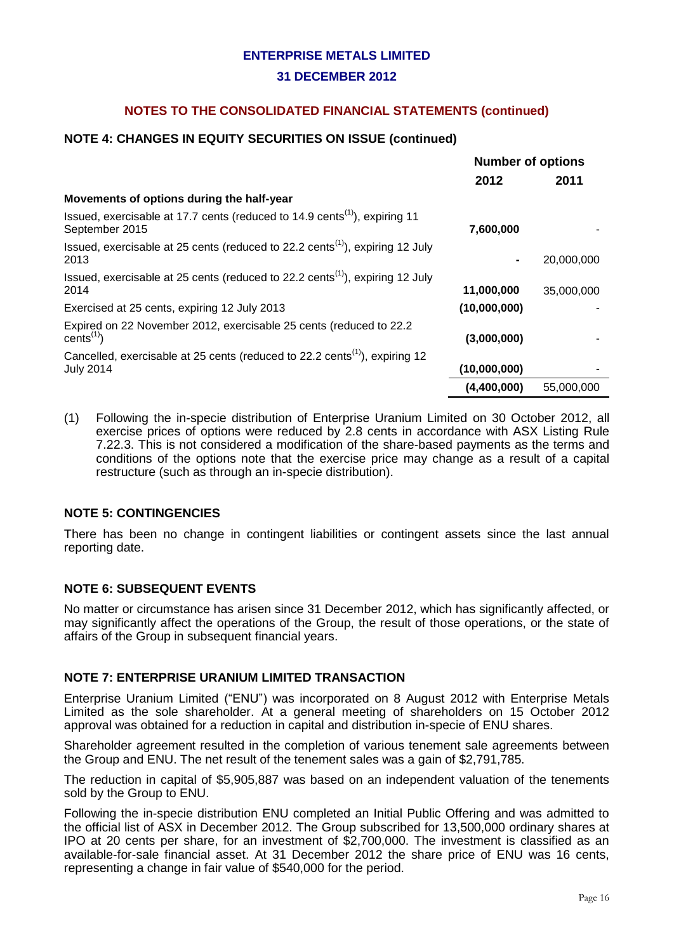## **NOTES TO THE CONSOLIDATED FINANCIAL STATEMENTS (continued)**

## **NOTE 4: CHANGES IN EQUITY SECURITIES ON ISSUE (continued)**

|                                                                                                                | <b>Number of options</b> |            |
|----------------------------------------------------------------------------------------------------------------|--------------------------|------------|
|                                                                                                                | 2012                     | 2011       |
| Movements of options during the half-year                                                                      |                          |            |
| Issued, exercisable at 17.7 cents (reduced to 14.9 cents <sup>(1)</sup> ), expiring 11<br>September 2015       | 7,600,000                |            |
| Issued, exercisable at 25 cents (reduced to 22.2 cents <sup><math>(1)</math></sup> ), expiring 12 July<br>2013 |                          | 20,000,000 |
| Issued, exercisable at 25 cents (reduced to $22.2$ cents <sup>(1)</sup> ), expiring 12 July<br>2014            | 11,000,000               | 35,000,000 |
| Exercised at 25 cents, expiring 12 July 2013                                                                   | (10,000,000)             |            |
| Expired on 22 November 2012, exercisable 25 cents (reduced to 22.2)<br>cents $(1)$                             | (3,000,000)              |            |
| Cancelled, exercisable at 25 cents (reduced to 22.2 cents <sup>(1)</sup> ), expiring 12<br><b>July 2014</b>    | (10,000,000)             |            |
|                                                                                                                | (4,400,000)              | 55,000,000 |

(1) Following the in-specie distribution of Enterprise Uranium Limited on 30 October 2012, all exercise prices of options were reduced by 2.8 cents in accordance with ASX Listing Rule 7.22.3. This is not considered a modification of the share-based payments as the terms and conditions of the options note that the exercise price may change as a result of a capital restructure (such as through an in-specie distribution).

### **NOTE 5: CONTINGENCIES**

There has been no change in contingent liabilities or contingent assets since the last annual reporting date.

### **NOTE 6: SUBSEQUENT EVENTS**

No matter or circumstance has arisen since 31 December 2012, which has significantly affected, or may significantly affect the operations of the Group, the result of those operations, or the state of affairs of the Group in subsequent financial years.

### **NOTE 7: ENTERPRISE URANIUM LIMITED TRANSACTION**

Enterprise Uranium Limited ("ENU") was incorporated on 8 August 2012 with Enterprise Metals Limited as the sole shareholder. At a general meeting of shareholders on 15 October 2012 approval was obtained for a reduction in capital and distribution in-specie of ENU shares.

Shareholder agreement resulted in the completion of various tenement sale agreements between the Group and ENU. The net result of the tenement sales was a gain of \$2,791,785.

The reduction in capital of \$5,905,887 was based on an independent valuation of the tenements sold by the Group to ENU.

Following the in-specie distribution ENU completed an Initial Public Offering and was admitted to the official list of ASX in December 2012. The Group subscribed for 13,500,000 ordinary shares at IPO at 20 cents per share, for an investment of \$2,700,000. The investment is classified as an available-for-sale financial asset. At 31 December 2012 the share price of ENU was 16 cents, representing a change in fair value of \$540,000 for the period.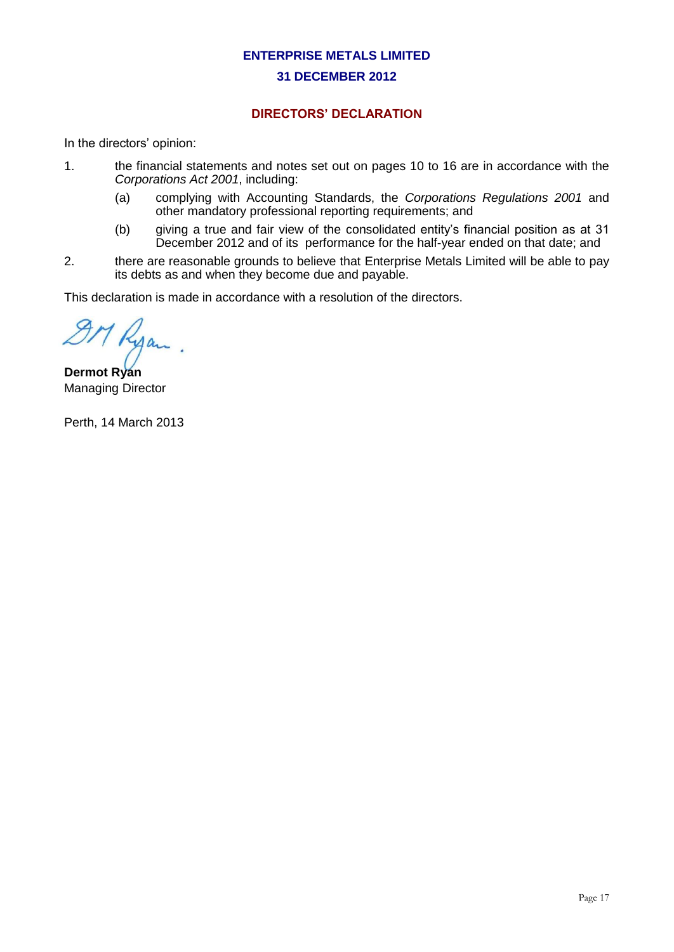# **DIRECTORS' DECLARATION**

In the directors' opinion:

- 1. the financial statements and notes set out on pages 10 to 16 are in accordance with the *Corporations Act 2001*, including:
	- (a) complying with Accounting Standards, the *Corporations Regulations 2001* and other mandatory professional reporting requirements; and
	- (b) giving a true and fair view of the consolidated entity's financial position as at 31 December 2012 and of its performance for the half-year ended on that date; and
- 2. there are reasonable grounds to believe that Enterprise Metals Limited will be able to pay its debts as and when they become due and payable.

This declaration is made in accordance with a resolution of the directors.

9M Ryan

**Dermot Ryan** Managing Director

Perth, 14 March 2013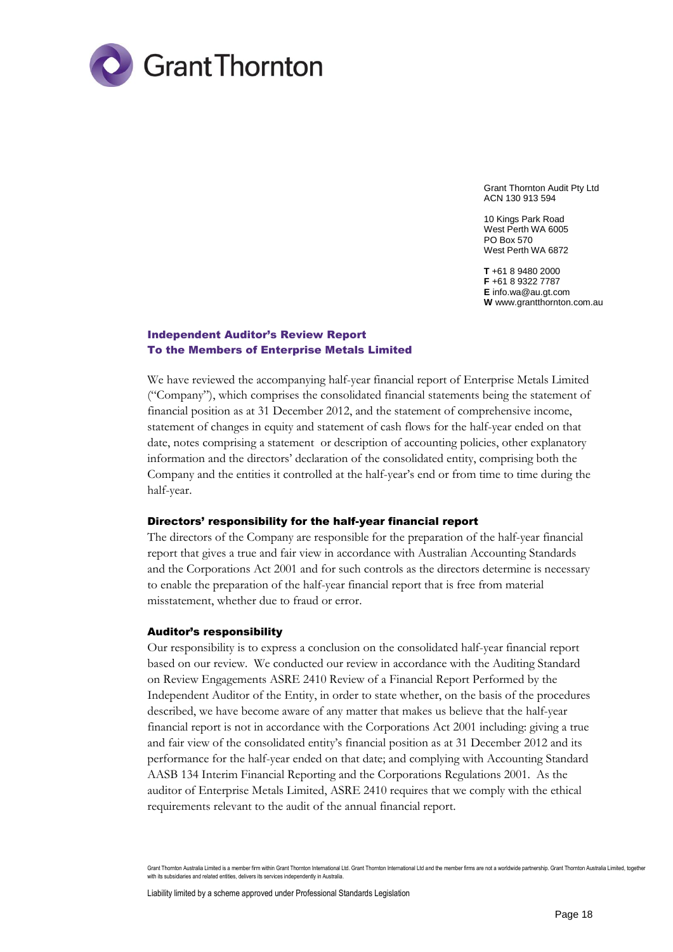

Grant Thornton Audit Pty Ltd ACN 130 913 594

10 Kings Park Road West Perth WA 6005 PO Box 570 West Perth WA 6872

**T** +61 8 9480 2000 **F** +61 8 9322 7787 **E** info.wa@au.gt.com **W** www.grantthornton.com.au

#### Independent Auditor's Review Report To the Members of Enterprise Metals Limited

We have reviewed the accompanying half-year financial report of Enterprise Metals Limited ("Company"), which comprises the consolidated financial statements being the statement of financial position as at 31 December 2012, and the statement of comprehensive income, statement of changes in equity and statement of cash flows for the half-year ended on that date, notes comprising a statement or description of accounting policies, other explanatory information and the directors' declaration of the consolidated entity, comprising both the Company and the entities it controlled at the half-year's end or from time to time during the half-year.

#### Directors' responsibility for the half-year financial report

The directors of the Company are responsible for the preparation of the half-year financial report that gives a true and fair view in accordance with Australian Accounting Standards and the Corporations Act 2001 and for such controls as the directors determine is necessary to enable the preparation of the half-year financial report that is free from material misstatement, whether due to fraud or error.

#### Auditor's responsibility

Our responsibility is to express a conclusion on the consolidated half-year financial report based on our review. We conducted our review in accordance with the Auditing Standard on Review Engagements ASRE 2410 Review of a Financial Report Performed by the Independent Auditor of the Entity, in order to state whether, on the basis of the procedures described, we have become aware of any matter that makes us believe that the half-year financial report is not in accordance with the Corporations Act 2001 including: giving a true and fair view of the consolidated entity's financial position as at 31 December 2012 and its performance for the half-year ended on that date; and complying with Accounting Standard AASB 134 Interim Financial Reporting and the Corporations Regulations 2001. As the auditor of Enterprise Metals Limited, ASRE 2410 requires that we comply with the ethical requirements relevant to the audit of the annual financial report.

Grant Thornton Australia Limited is a member firm within Grant Thornton International Ltd. Grant Thornton International Ltd and the member firms are not a worldwide partnership. Grant Thornton Australia Limited, together with its subsidiaries and related entities, delivers its services independently in Australia